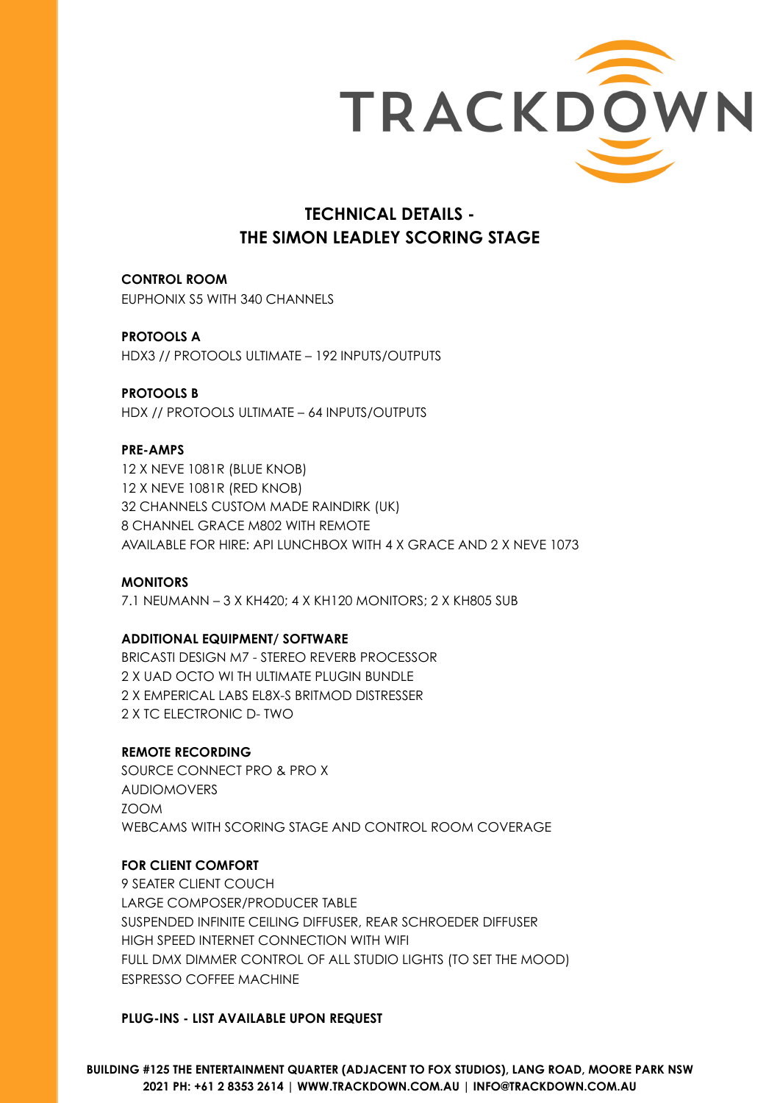

# **TECHNICAL DETAILS - THE SIMON LEADLEY SCORING STAGE**

**CONTROL ROOM** EUPHONIX S5 WITH 340 CHANNELS

**PROTOOLS A**  HDX3 // PROTOOLS ULTIMATE – 192 INPUTS/OUTPUTS

#### **PROTOOLS B**

HDX // PROTOOLS ULTIMATE – 64 INPUTS/OUTPUTS

#### **PRE-AMPS**

12 X NEVE 1081R (BLUE KNOB) 12 X NEVE 1081R (RED KNOB) 32 CHANNELS CUSTOM MADE RAINDIRK (UK) 8 CHANNEL GRACE M802 WITH REMOTE AVAILABLE FOR HIRE: API LUNCHBOX WITH 4 X GRACE AND 2 X NEVE 1073

#### **MONITORS**

7.1 NEUMANN – 3 X KH420; 4 X KH120 MONITORS; 2 X KH805 SUB

#### **ADDITIONAL EQUIPMENT/ SOFTWARE**

BRICASTI DESIGN M7 - STEREO REVERB PROCESSOR 2 X UAD OCTO WI TH ULTIMATE PLUGIN BUNDLE 2 X EMPERICAL LABS EL8X-S BRITMOD DISTRESSER 2 X TC ELECTRONIC D- TWO

#### **REMOTE RECORDING**

SOURCE CONNECT PRO & PRO X AUDIOMOVERS ZOOM WEBCAMS WITH SCORING STAGE AND CONTROL ROOM COVERAGE

#### **FOR CLIENT COMFORT**

9 SEATER CLIENT COUCH LARGE COMPOSER/PRODUCER TABLE SUSPENDED INFINITE CEILING DIFFUSER, REAR SCHROEDER DIFFUSER HIGH SPEED INTERNET CONNECTION WITH WIFI FULL DMX DIMMER CONTROL OF ALL STUDIO LIGHTS (TO SET THE MOOD) ESPRESSO COFFEE MACHINE

#### **PLUG-INS - LIST AVAILABLE UPON REQUEST**